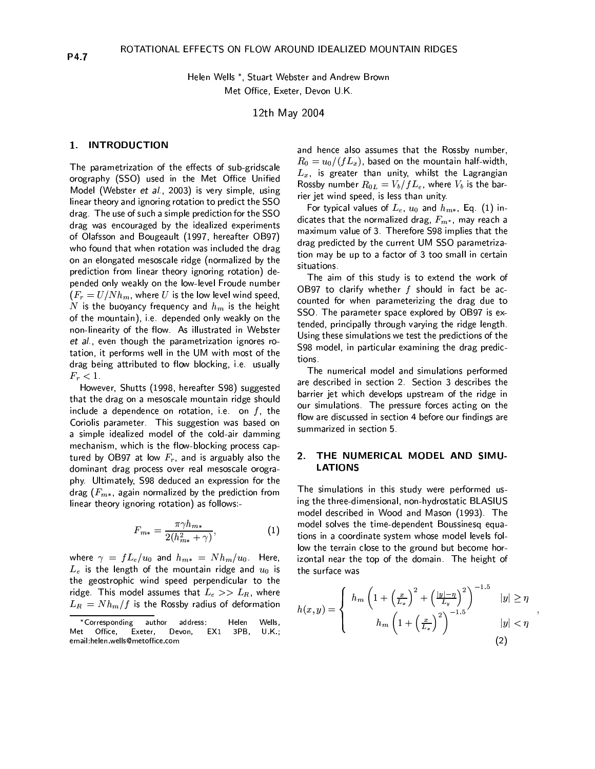Helen Wells \*, Stuart Webster and Andrew Brown Met Office, Exeter, Devon U.K.

12th May 2004

#### **INTRODUCTION** 1.

The parametrization of the effects of sub-gridscale orography (SSO) used in the Met Office Unified Model (Webster et al., 2003) is very simple, using linear theory and ignoring rotation to predict the SSO drag. The use of such a simple prediction for the SSO drag was encouraged by the idealized experiments of Olafsson and Bougeault (1997, hereafter OB97) who found that when rotation was included the drag on an elongated mesoscale ridge (normalized by the prediction from linear theory ignoring rotation) depended only weakly on the low-level Froude number  $(F_r = U/Nh_m$ , where U is the low level wind speed, N is the buoyancy frequency and  $h_m$  is the height of the mountain), i.e. depended only weakly on the non-linearity of the flow. As illustrated in Webster et al., even though the parametrization ignores rotation, it performs well in the UM with most of the drag being attributed to flow blocking, i.e. usually  $F_r < 1$ 

However, Shutts (1998, hereafter S98) suggested that the drag on a mesoscale mountain ridge should include a dependence on rotation, i.e. on  $f$ , the Coriolis parameter. This suggestion was based on a simple idealized model of the cold-air damming mechanism, which is the flow-blocking process captured by OB97 at low  $F_r$ , and is arguably also the dominant drag process over real mesoscale orography. Ultimately, S98 deduced an expression for the drag ( $F_{m*}$ , again normalized by the prediction from linear theory ignoring rotation) as follows:-

$$
F_{m*} = \frac{\pi \gamma h_{m*}}{2(h_{m*}^2 + \gamma)},\tag{1}
$$

where  $\gamma = f L_e/u_0$  and  $h_{m*} = N h_m/u_0$ . Here,  $L_e$  is the length of the mountain ridge and  $u_0$  is the geostrophic wind speed perpendicular to the ridge. This model assumes that  $L_e >> L_R$ , where  $L_R = N h_m / f$  is the Rossby radius of deformation

and hence also assumes that the Rossby number,  $R_0 = u_0/(fL_x)$ , based on the mountain half-width,  $L_x$ , is greater than unity, whilst the Lagrangian Rossby number  $R_{0L} = V_b/fL_e$ , where  $V_b$  is the barrier jet wind speed, is less than unity.

For typical values of  $L_e$ ,  $u_0$  and  $h_{m*}$ , Eq. (1) indicates that the normalized drag,  $F_{m^*}$ , may reach a maximum value of 3. Therefore S98 implies that the drag predicted by the current UM SSO parametrization may be up to a factor of 3 too small in certain situations.

The aim of this study is to extend the work of OB97 to clarify whether  $f$  should in fact be accounted for when parameterizing the drag due to SSO. The parameter space explored by OB97 is extended, principally through varying the ridge length. Using these simulations we test the predictions of the S98 model, in particular examining the drag predictions.

The numerical model and simulations performed are described in section 2. Section 3 describes the barrier jet which develops upstream of the ridge in our simulations. The pressure forces acting on the flow are discussed in section 4 before our findings are summarized in section 5.

## THE NUMERICAL MODEL AND SIMU-2. **LATIONS**

The simulations in this study were performed using the three-dimensional, non-hydrostatic BLASIUS model described in Wood and Mason (1993). The model solves the time-dependent Boussinesq equations in a coordinate system whose model levels follow the terrain close to the ground but become horizontal near the top of the domain. The height of the surface was

$$
h(x,y) = \begin{cases} h_m \left(1 + \left(\frac{x}{L_x}\right)^2 + \left(\frac{|y| - \eta}{L_y}\right)^2\right)^{-1.5} & |y| \ge \eta \\ h_m \left(1 + \left(\frac{x}{L_x}\right)^2\right)^{-1.5} & |y| < \eta \\ \end{cases}
$$
 (2)

<sup>\*</sup>Corresponding author address: Helen Wells. Office, Exeter, Devon, EX1 3PB, Met  $U.K$  , email helen wells@metoffice com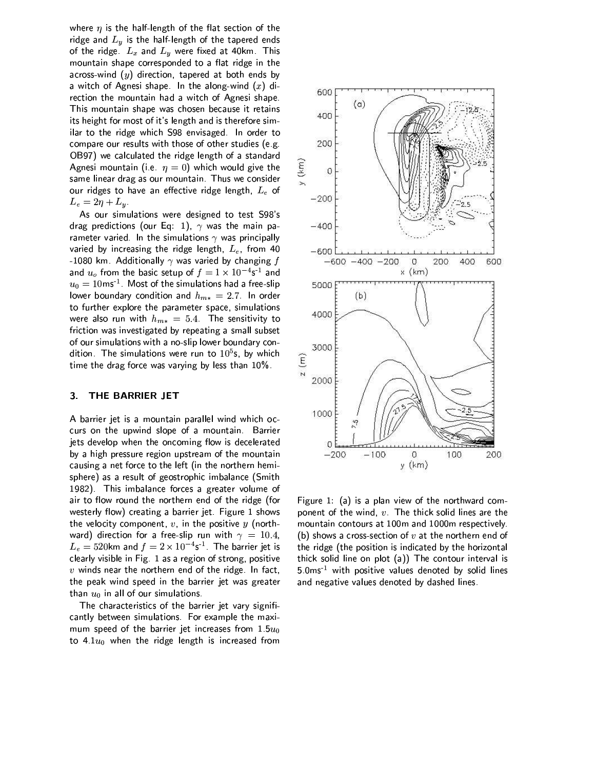where  $\eta$  is the half-length of the flat section of the ridge and  $L_y$  is the half-length of the tapered ends of the ridge.  $L_x$  and  $L_y$  were fixed at 40km. This mountain shape corresponded to a flat ridge in the across-wind  $(y)$  direction, tapered at both ends by a witch of Agnesi shape. In the along-wind  $(x)$  direction the mountain had a witch of Agnesi shape. This mountain shape was chosen because it retains its height for most of it's length and is therefore similar to the ridge which S98 envisaged. In order to compare our results with those of other studies (e.g. OB97) we calculated the ridge length of a standard Agnesi mountain (i.e.  $\eta = 0$ ) which would give the same linear drag as our mountain. Thus we consider our ridges to have an effective ridge length,  $L_e$  of  $L_e = 2\eta + L_y.$ 

As our simulations were designed to test S98's drag predictions (our Eq. 1),  $\gamma$  was the main parameter varied. In the simulations  $\gamma$  was principally varied by increasing the ridge length,  $L_e$ , from 40 -1080 km. Additionally  $\gamma$  was varied by changing  $f$ and  $u_o$  from the basic setup of  $f = 1 \times 10^{-4}$ s<sup>-1</sup> and  $u_0 = 10$ ms<sup>1</sup>. Most of the simulations had a free-slip lower boundary condition and  $h_{m*} = 2.7$ . In order to further explore the parameter space, simulations were also run with  $h_{m*} = 5.4$ . The sensitivity to friction was investigated by repeating a small subset of our simulations with a no-slip lower boundary condition. The simulations were run to  $10^5$ s, by which time the drag force was varying by less than 10%.

### THE BARRIER JET  $3<sub>1</sub>$

A barrier jet is a mountain parallel wind which occurs on the upwind slope of a mountain. Barrier jets develop when the oncoming flow is decelerated by a high pressure region upstream of the mountain causing a net force to the left (in the northern hemisphere) as a result of geostrophic imbalance (Smith 1982). This imbalance forces a greater volume of air to flow round the northern end of the ridge (for westerly flow) creating a barrier jet. Figure 1 shows the velocity component,  $v$ , in the positive  $y$  (northward) direction for a free-slip run with  $\gamma = 10.4$ ,  $L_e = 520$ km and  $f = 2 \times 10^{-4}$ s<sup>-1</sup>. The barrier jet is clearly visible in Fig. 1 as a region of strong, positive  $v$  winds near the northern end of the ridge. In fact, the peak wind speed in the barrier jet was greater than  $u_0$  in all of our simulations.

The characteristics of the barrier jet vary significantly between simulations. For example the maximum speed of the barrier jet increases from  $1.5u_0$ to  $4.1u_0$  when the ridge length is increased from



Figure 1: (a) is a plan view of the northward component of the wind,  $v$ . The thick solid lines are the mountain contours at 100m and 1000m respectively. (b) shows a cross-section of  $v$  at the northern end of the ridge (the position is indicated by the horizontal thick solid line on plot (a)) The contour interval is 5.0ms<sup>1</sup> with positive values denoted by solid lines and negative values denoted by dashed lines.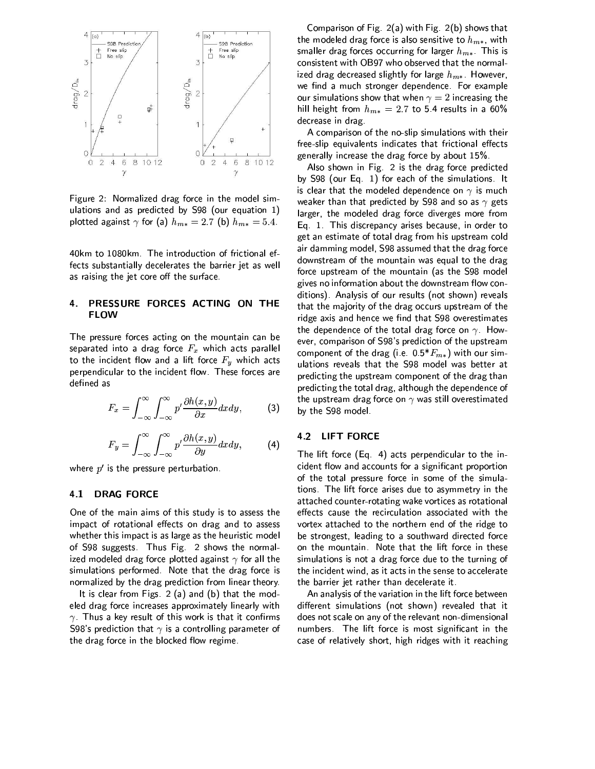

Figure 2: Normalized drag force in the model simulations and as predicted by S98 (our equation 1) plotted against  $\gamma$  for (a)  $h_{m*}=2.7$  (b)  $h_{m*}=5.4$ .

40km to 1080km. The introduction of frictional effects substantially decelerates the barrier jet as well as raising the jet core off the surface.

# PRESSURE FORCES ACTING ON THE  $\mathbf{4}$ **FLOW**

The pressure forces acting on the mountain can be separated into a drag force  $F_x$  which acts parallel to the incident flow and a lift force  $F_y$  which acts perpendicular to the incident flow. These forces are defined as

$$
F_x = \int_{-\infty}^{\infty} \int_{-\infty}^{\infty} p' \frac{\partial h(x, y)}{\partial x} dx dy, \tag{3}
$$

$$
F_y = \int_{-\infty}^{\infty} \int_{-\infty}^{\infty} p' \frac{\partial h(x, y)}{\partial y} dx dy, \qquad (4)
$$

where  $p'$  is the pressure perturbation.

#### 41 **DRAG FORCE**

One of the main aims of this study is to assess the impact of rotational effects on drag and to assess whether this impact is as large as the heuristic model of S98 suggests. Thus Fig. 2 shows the normalized modeled drag force plotted against  $\gamma$  for all the simulations performed. Note that the drag force is normalized by the drag prediction from linear theory.

It is clear from Figs.  $2(a)$  and  $(b)$  that the modeled drag force increases approximately linearly with  $\gamma$  Thus a key result of this work is that it confirms S98's prediction that  $\gamma$  is a controlling parameter of the drag force in the blocked flow regime.

Comparison of Fig. 2(a) with Fig. 2(b) shows that the modeled drag force is also sensitive to  $h_{m*}$ , with smaller drag forces occurring for larger  $h_{m*}$ . This is consistent with OB97 who observed that the normalized drag decreased slightly for large  $h_{m*}$ . However, we find a much stronger dependence. For example our simulations show that when  $\gamma = 2$  increasing the hill height from  $h_{m*} = 2.7$  to 5.4 results in a 60% decrease in drag.

A comparison of the no-slip simulations with their free-slip equivalents indicates that frictional effects generally increase the drag force by about 15%.

Also shown in Fig. 2 is the drag force predicted by S98 (our Eq. 1) for each of the simulations. It is clear that the modeled dependence on  $\gamma$  is much weaker than that predicted by S98 and so as  $\gamma$  gets larger, the modeled drag force diverges more from Eq. 1. This discrepancy arises because, in order to get an estimate of total drag from his upstream cold air damming model, S98 assumed that the drag force downstream of the mountain was equal to the drag force upstream of the mountain (as the S98 model gives no information about the downstream flow conditions). Analysis of our results (not shown) reveals that the majority of the drag occurs upstream of the ridge axis and hence we find that S98 overestimates the dependence of the total drag force on  $\gamma$ . However, comparison of S98's prediction of the upstream component of the drag (i.e.  $0.5*F_{m*}$ ) with our simulations reveals that the S98 model was better at predicting the upstream component of the drag than predicting the total drag, although the dependence of the upstream drag force on  $\gamma$  was still overestimated by the S98 model

### 4.2 **LIFT FORCE**

The lift force (Eq. 4) acts perpendicular to the incident flow and accounts for a significant proportion of the total pressure force in some of the simulations. The lift force arises due to asymmetry in the attached counter-rotating wake vortices as rotational effects cause the recirculation associated with the vortex attached to the northern end of the ridge to be strongest, leading to a southward directed force on the mountain. Note that the lift force in these simulations is not a drag force due to the turning of the incident wind, as it acts in the sense to accelerate the barrier jet rather than decelerate it.

An analysis of the variation in the lift force between different simulations (not shown) revealed that it does not scale on any of the relevant non-dimensional numbers. The lift force is most significant in the case of relatively short, high ridges with it reaching